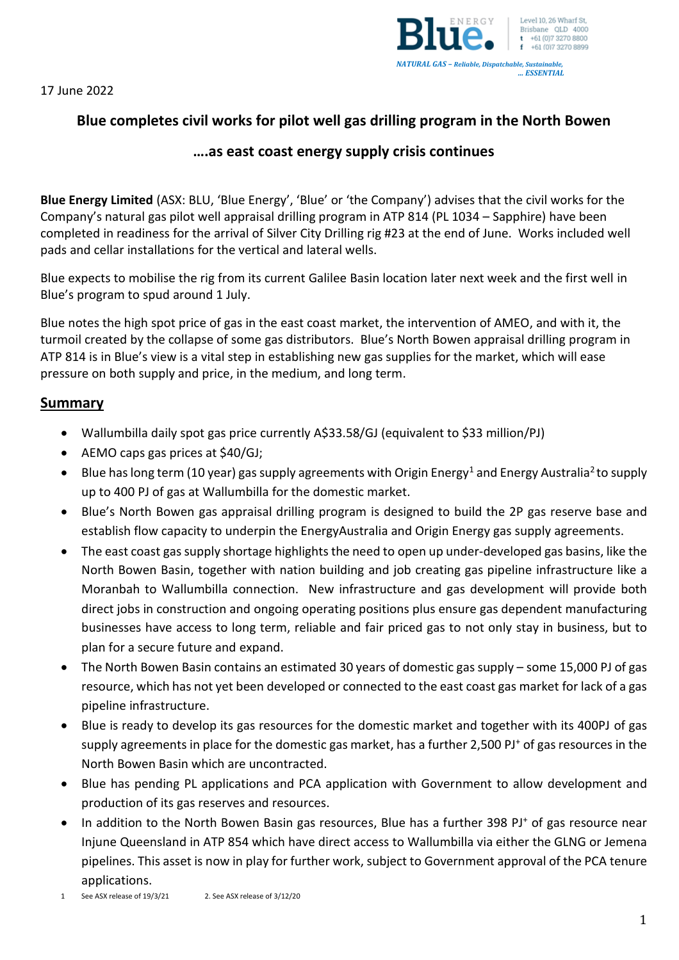17 June 2022



# **Blue completes civil works for pilot well gas drilling program in the North Bowen**

## **….as east coast energy supply crisis continues**

**Blue Energy Limited** (ASX: BLU, 'Blue Energy', 'Blue' or 'the Company') advises that the civil works for the Company's natural gas pilot well appraisal drilling program in ATP 814 (PL 1034 – Sapphire) have been completed in readiness for the arrival of Silver City Drilling rig #23 at the end of June. Works included well pads and cellar installations for the vertical and lateral wells.

Blue expects to mobilise the rig from its current Galilee Basin location later next week and the first well in Blue's program to spud around 1 July.

Blue notes the high spot price of gas in the east coast market, the intervention of AMEO, and with it, the turmoil created by the collapse of some gas distributors. Blue's North Bowen appraisal drilling program in ATP 814 is in Blue's view is a vital step in establishing new gas supplies for the market, which will ease pressure on both supply and price, in the medium, and long term.

### **Summary**

- Wallumbilla daily spot gas price currently A\$33.58/GJ (equivalent to \$33 million/PJ)
- AEMO caps gas prices at \$40/GJ;
- Blue has long term (10 year) gas supply agreements with Origin Energy<sup>1</sup> and Energy Australia<sup>2</sup> to supply up to 400 PJ of gas at Wallumbilla for the domestic market.
- Blue's North Bowen gas appraisal drilling program is designed to build the 2P gas reserve base and establish flow capacity to underpin the EnergyAustralia and Origin Energy gas supply agreements.
- The east coast gas supply shortage highlights the need to open up under-developed gas basins, like the North Bowen Basin, together with nation building and job creating gas pipeline infrastructure like a Moranbah to Wallumbilla connection. New infrastructure and gas development will provide both direct jobs in construction and ongoing operating positions plus ensure gas dependent manufacturing businesses have access to long term, reliable and fair priced gas to not only stay in business, but to plan for a secure future and expand.
- The North Bowen Basin contains an estimated 30 years of domestic gas supply some 15,000 PJ of gas resource, which has not yet been developed or connected to the east coast gas market for lack of a gas pipeline infrastructure.
- Blue is ready to develop its gas resources for the domestic market and together with its 400PJ of gas supply agreements in place for the domestic gas market, has a further 2,500 PJ<sup>+</sup> of gas resources in the North Bowen Basin which are uncontracted.
- Blue has pending PL applications and PCA application with Government to allow development and production of its gas reserves and resources.
- In addition to the North Bowen Basin gas resources, Blue has a further 398 PJ<sup>+</sup> of gas resource near Injune Queensland in ATP 854 which have direct access to Wallumbilla via either the GLNG or Jemena pipelines. This asset is now in play for further work, subject to Government approval of the PCA tenure applications.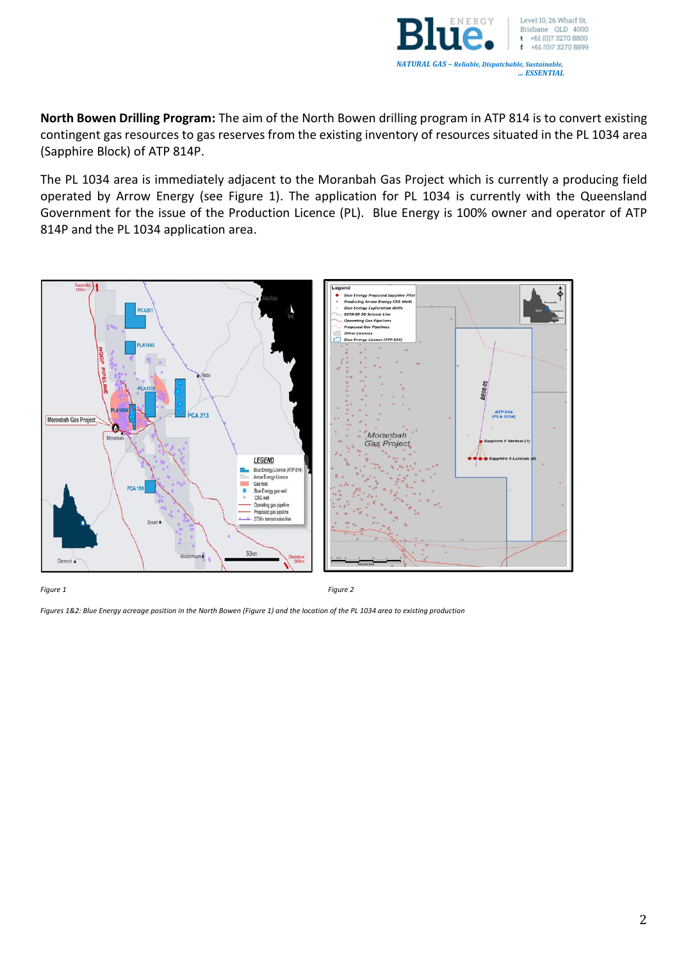

**North Bowen Drilling Program:** The aim of the North Bowen drilling program in ATP 814 is to convert existing contingent gas resources to gas reserves from the existing inventory of resources situated in the PL 1034 area (Sapphire Block) of ATP 814P.

The PL 1034 area is immediately adjacent to the Moranbah Gas Project which is currently a producing field operated by Arrow Energy (see Figure 1). The application for PL 1034 is currently with the Queensland Government for the issue of the Production Licence (PL). Blue Energy is 100% owner and operator of ATP 814P and the PL 1034 application area.



*Figure 1 Figure 2*

*Figures 1&2: Blue Energy acreage position in the North Bowen (Figure 1) and the location of the PL 1034 area to existing production*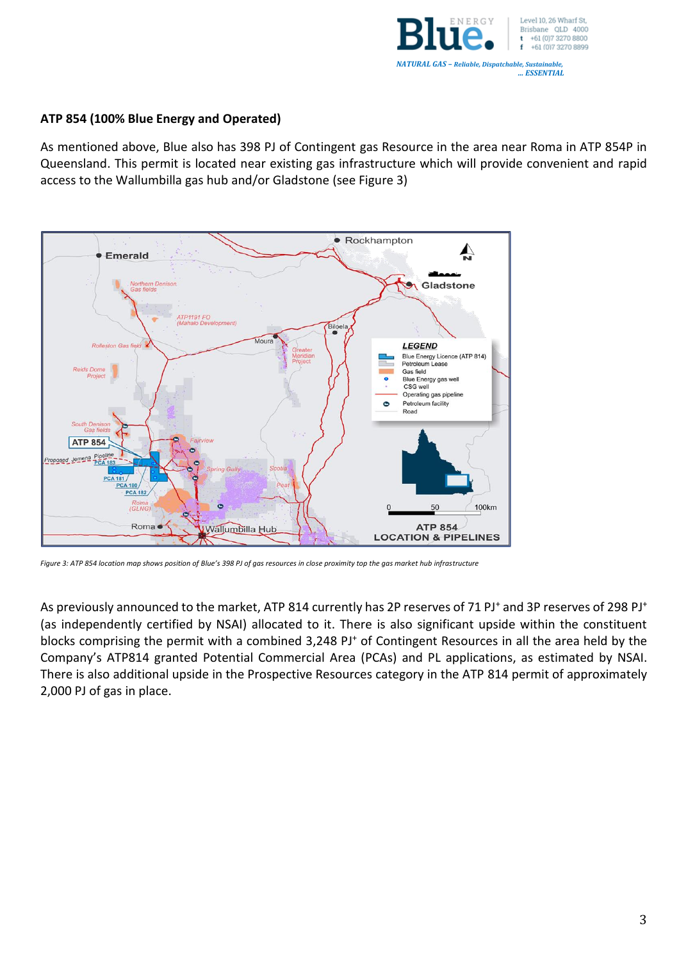

#### **ATP 854 (100% Blue Energy and Operated)**

As mentioned above, Blue also has 398 PJ of Contingent gas Resource in the area near Roma in ATP 854P in Queensland. This permit is located near existing gas infrastructure which will provide convenient and rapid access to the Wallumbilla gas hub and/or Gladstone (see Figure 3)



*Figure 3: ATP 854 location map shows position of Blue's 398 PJ of gas resources in close proximity top the gas market hub infrastructure*

As previously announced to the market, ATP 814 currently has 2P reserves of 71 PJ<sup>+</sup> and 3P reserves of 298 PJ<sup>+</sup> (as independently certified by NSAI) allocated to it. There is also significant upside within the constituent blocks comprising the permit with a combined 3,248 PJ<sup>+</sup> of Contingent Resources in all the area held by the Company's ATP814 granted Potential Commercial Area (PCAs) and PL applications, as estimated by NSAI. There is also additional upside in the Prospective Resources category in the ATP 814 permit of approximately 2,000 PJ of gas in place.